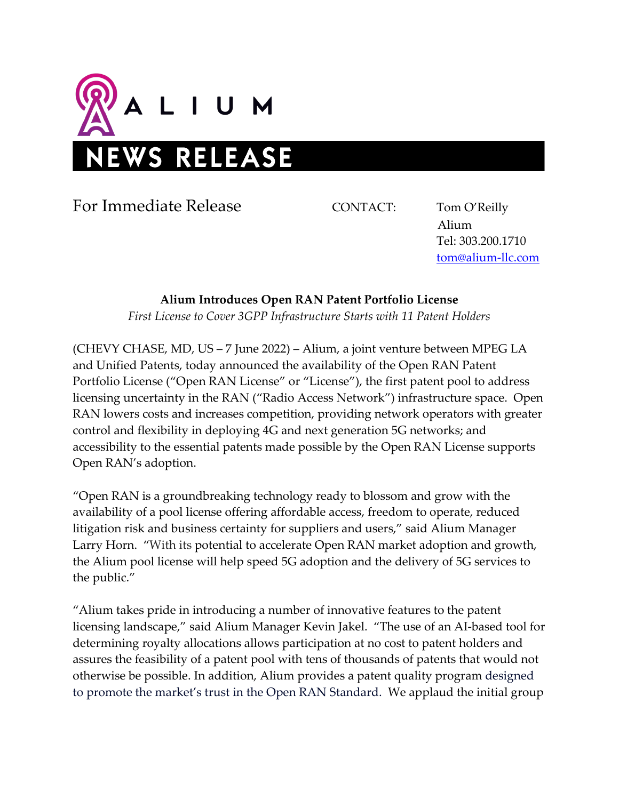

For Immediate Release CONTACT: Tom O'Reilly

 Alium Tel: 303.200.1710 [tom@alium-llc.com](mailto:tom@alium-llc.com)

## **Alium Introduces Open RAN Patent Portfolio License**

*First License to Cover 3GPP Infrastructure Starts with 11 Patent Holders*

(CHEVY CHASE, MD, US – 7 June 2022) – Alium, a joint venture between MPEG LA and Unified Patents, today announced the availability of the Open RAN Patent Portfolio License ("Open RAN License" or "License"), the first patent pool to address licensing uncertainty in the RAN ("Radio Access Network") infrastructure space. Open RAN lowers costs and increases competition, providing network operators with greater control and flexibility in deploying 4G and next generation 5G networks; and accessibility to the essential patents made possible by the Open RAN License supports Open RAN's adoption.

"Open RAN is a groundbreaking technology ready to blossom and grow with the availability of a pool license offering affordable access, freedom to operate, reduced litigation risk and business certainty for suppliers and users," said Alium Manager Larry Horn. "With its potential to accelerate Open RAN market adoption and growth, the Alium pool license will help speed 5G adoption and the delivery of 5G services to the public."

"Alium takes pride in introducing a number of innovative features to the patent licensing landscape," said Alium Manager Kevin Jakel. "The use of an AI-based tool for determining royalty allocations allows participation at no cost to patent holders and assures the feasibility of a patent pool with tens of thousands of patents that would not otherwise be possible. In addition, Alium provides a patent quality program designed to promote the market's trust in the Open RAN Standard. We applaud the initial group